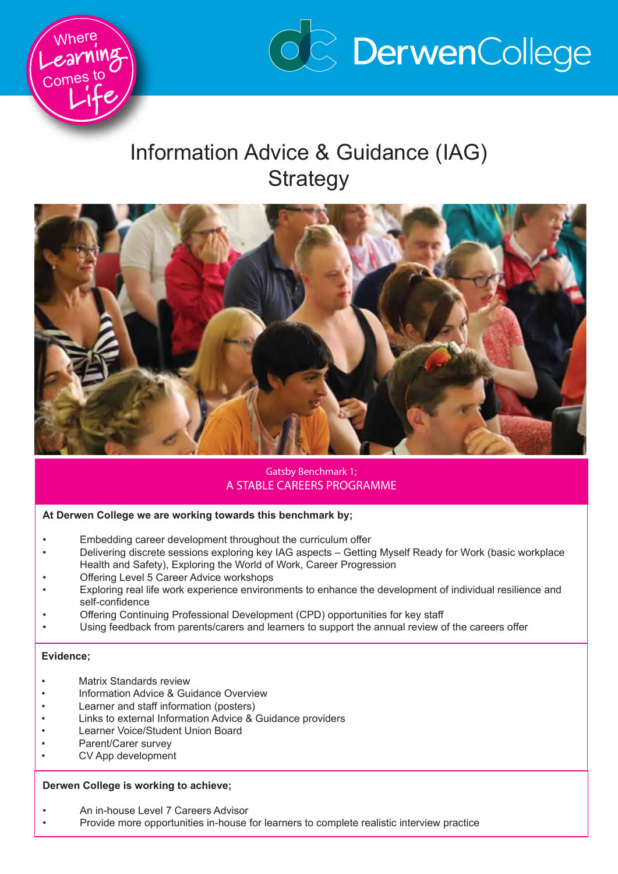



# Information Advice & Guidance (IAG) **Strategy**



## Gatsby Benchmark 1; A STABLE CAREERS PROGRAMME

#### **At Derwen College we are working towards this benchmark by;**

- Embedding career development throughout the curriculum offer
- Delivering discrete sessions exploring key IAG aspects Getting Myself Ready for Work (basic workplace Health and Safety), Exploring the World of Work, Career Progression
- Offering Level 5 Career Advice workshops
- Exploring real life work experience environments to enhance the development of individual resilience and self-confidence
- Offering Continuing Professional Development (CPD) opportunities for key staff
- Using feedback from parents/carers and learners to support the annual review of the careers offer

#### **Evidence;**

- **Matrix Standards review**
- Information Advice & Guidance Overview
- Learner and staff information (posters)
- Links to external Information Advice & Guidance providers
- Learner Voice/Student Union Board
- Parent/Carer survey
- CV App development

#### **Derwen College is working to achieve;**

- An in-house Level 7 Careers Advisor
- Provide more opportunities in-house for learners to complete realistic interview practice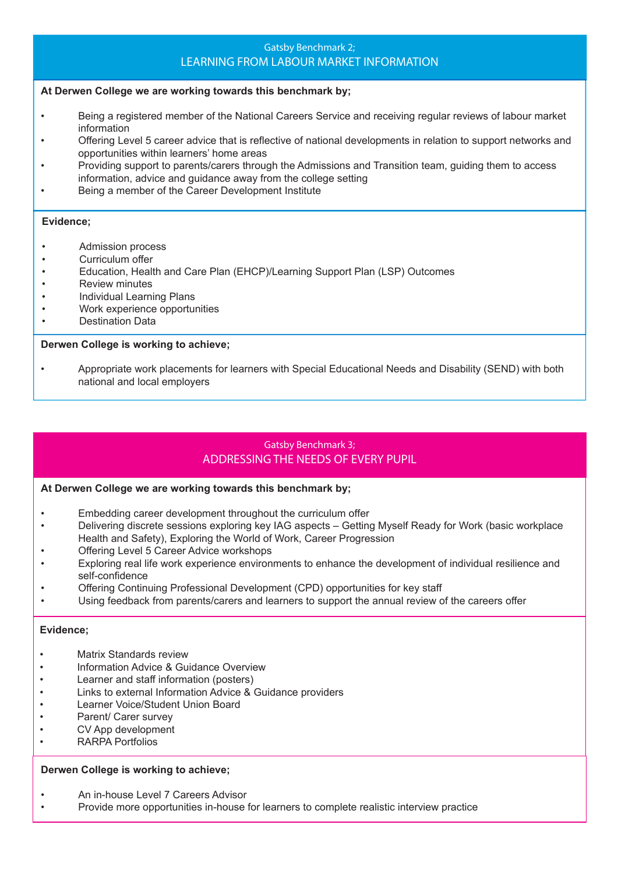## Gatsby Benchmark 2; LEARNING FROM LABOUR MARKET INFORMATION

#### **At Derwen College we are working towards this benchmark by;**

- Being a registered member of the National Careers Service and receiving regular reviews of labour market information
- Offering Level 5 career advice that is reflective of national developments in relation to support networks and opportunities within learners' home areas
- Providing support to parents/carers through the Admissions and Transition team, guiding them to access information, advice and guidance away from the college setting
- Being a member of the Career Development Institute

#### **Evidence;**

- Admission process
- Curriculum offer
- Education, Health and Care Plan (EHCP)/Learning Support Plan (LSP) Outcomes
- Review minutes
- Individual Learning Plans
- Work experience opportunities
- Destination Data

#### **Derwen College is working to achieve;**

• Appropriate work placements for learners with Special Educational Needs and Disability (SEND) with both national and local employers

## Gatsby Benchmark 3; ADDRESSING THE NEEDS OF EVERY PUPIL

#### **At Derwen College we are working towards this benchmark by;**

- Embedding career development throughout the curriculum offer
- Delivering discrete sessions exploring key IAG aspects Getting Myself Ready for Work (basic workplace Health and Safety), Exploring the World of Work, Career Progression
- Offering Level 5 Career Advice workshops
- Exploring real life work experience environments to enhance the development of individual resilience and self-confidence
- Offering Continuing Professional Development (CPD) opportunities for key staff
- Using feedback from parents/carers and learners to support the annual review of the careers offer

#### **Evidence;**

- Matrix Standards review
- Information Advice & Guidance Overview
- Learner and staff information (posters)
- Links to external Information Advice & Guidance providers
- Learner Voice/Student Union Board
- Parent/ Carer survey
- CV App development
- RARPA Portfolios

#### **Derwen College is working to achieve;**

- An in-house Level 7 Careers Advisor
- Provide more opportunities in-house for learners to complete realistic interview practice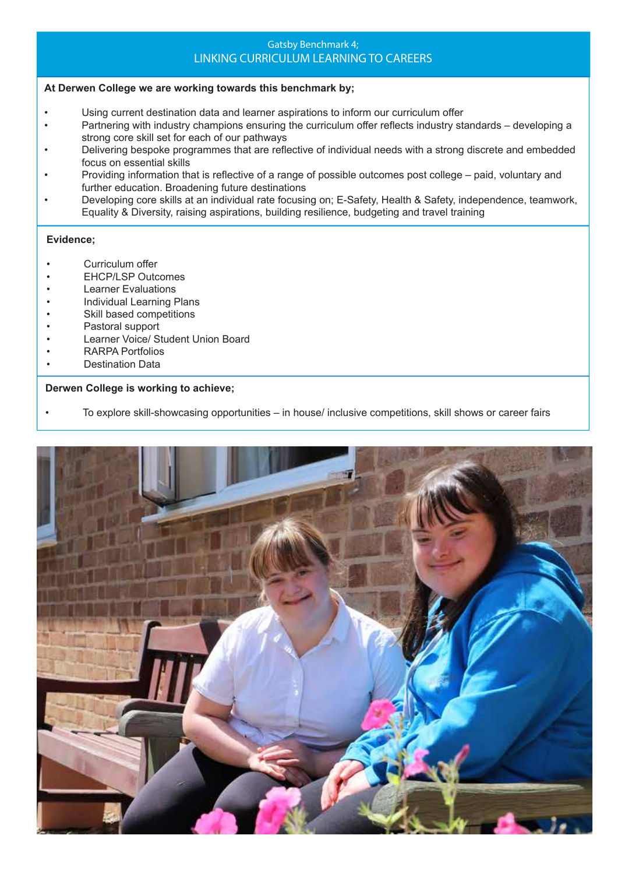## Gatsby Benchmark 4; LINKING CURRICULUM LEARNING TO CAREERS

## **At Derwen College we are working towards this benchmark by;**

- Using current destination data and learner aspirations to inform our curriculum offer
- Partnering with industry champions ensuring the curriculum offer reflects industry standards developing a strong core skill set for each of our pathways
- Delivering bespoke programmes that are reflective of individual needs with a strong discrete and embedded focus on essential skills
- Providing information that is reflective of a range of possible outcomes post college paid, voluntary and further education. Broadening future destinations
- Developing core skills at an individual rate focusing on; E-Safety, Health & Safety, independence, teamwork, Equality & Diversity, raising aspirations, building resilience, budgeting and travel training

#### **Evidence;**

- Curriculum offer
- EHCP/LSP Outcomes
- Learner Evaluations
- Individual Learning Plans
- Skill based competitions
- Pastoral support
- Learner Voice/ Student Union Board
- RARPA Portfolios
- Destination Data

#### **Derwen College is working to achieve;**

• To explore skill-showcasing opportunities – in house/ inclusive competitions, skill shows or career fairs

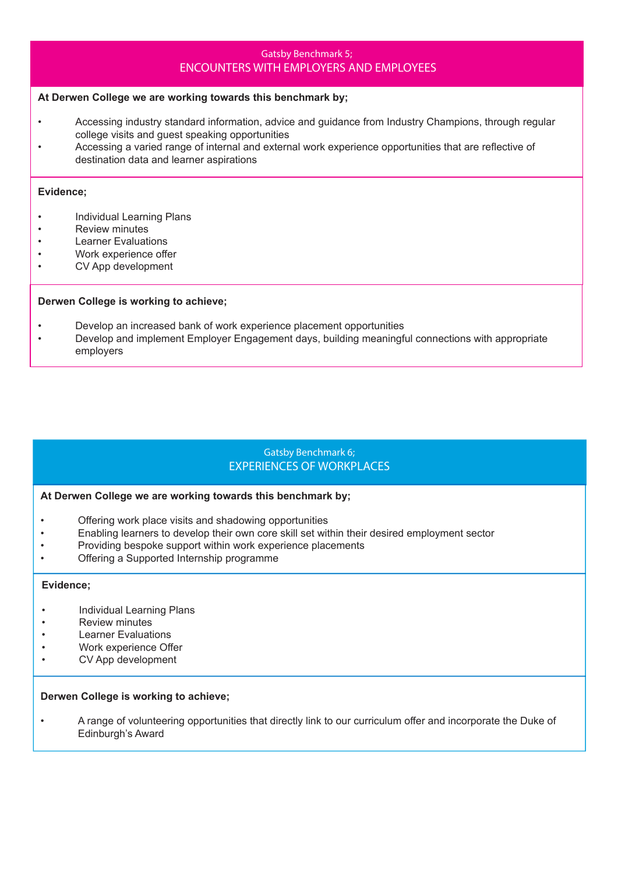## Gatsby Benchmark 5; ENCOUNTERS WITH EMPLOYERS AND EMPLOYEES

#### **At Derwen College we are working towards this benchmark by;**

- Accessing industry standard information, advice and guidance from Industry Champions, through regular college visits and guest speaking opportunities
- Accessing a varied range of internal and external work experience opportunities that are reflective of destination data and learner aspirations

#### **Evidence;**

- Individual Learning Plans
- Review minutes
- **Learner Evaluations**
- Work experience offer
- CV App development

#### **Derwen College is working to achieve;**

- Develop an increased bank of work experience placement opportunities
- Develop and implement Employer Engagement days, building meaningful connections with appropriate employers

## Gatsby Benchmark 6; EXPERIENCES OF WORKPLACES

#### **At Derwen College we are working towards this benchmark by;**

- Offering work place visits and shadowing opportunities
- Enabling learners to develop their own core skill set within their desired employment sector
- Providing bespoke support within work experience placements
- Offering a Supported Internship programme

#### **Evidence;**

- Individual Learning Plans
- Review minutes
- Learner Evaluations
- Work experience Offer
- CV App development

#### **Derwen College is working to achieve;**

• A range of volunteering opportunities that directly link to our curriculum offer and incorporate the Duke of Edinburgh's Award